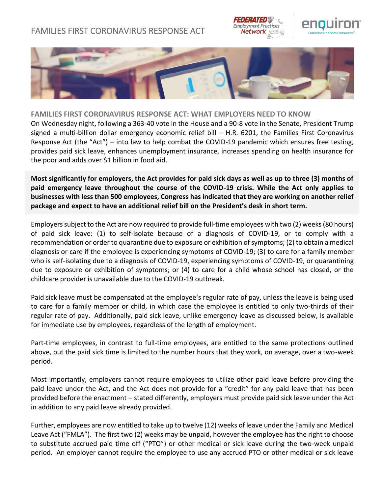## FAMILIES FIRST CORONAVIRUS RESPONSE ACT







## **FAMILIES FIRST CORONAVIRUS RESPONSE ACT: WHAT EMPLOYERS NEED TO KNOW**

On Wednesday night, following a 363-40 vote in the House and a 90-8 vote in the Senate, President Trump signed a multi-billion dollar emergency economic relief bill – H.R. 6201, the Families First Coronavirus Response Act (the "Act") – into law to help combat the COVID-19 pandemic which ensures free testing, provides paid sick leave, enhances unemployment insurance, increases spending on health insurance for the poor and adds over \$1 billion in food aid.

**Most significantly for employers, the Act provides for paid sick days as well as up to three (3) months of paid emergency leave throughout the course of the COVID-19 crisis. While the Act only applies to businesses with less than 500 employees, Congress has indicated that they are working on another relief package and expect to have an additional relief bill on the President's desk in short term.**

Employers subject to the Act are now required to provide full-time employees with two (2) weeks (80 hours) of paid sick leave: (1) to self-isolate because of a diagnosis of COVID-19, or to comply with a recommendation or order to quarantine due to exposure or exhibition of symptoms; (2) to obtain a medical diagnosis or care if the employee is experiencing symptoms of COVID-19; (3) to care for a family member who is self-isolating due to a diagnosis of COVID-19, experiencing symptoms of COVID-19, or quarantining due to exposure or exhibition of symptoms; or (4) to care for a child whose school has closed, or the childcare provider is unavailable due to the COVID-19 outbreak.

Paid sick leave must be compensated at the employee's regular rate of pay, unless the leave is being used to care for a family member or child, in which case the employee is entitled to only two-thirds of their regular rate of pay. Additionally, paid sick leave, unlike emergency leave as discussed below, is available for immediate use by employees, regardless of the length of employment.

Part-time employees, in contrast to full-time employees, are entitled to the same protections outlined above, but the paid sick time is limited to the number hours that they work, on average, over a two-week period.

Most importantly, employers cannot require employees to utilize other paid leave before providing the paid leave under the Act, and the Act does not provide for a "credit" for any paid leave that has been provided before the enactment – stated differently, employers must provide paid sick leave under the Act in addition to any paid leave already provided.

Further, employees are now entitled to take up to twelve (12) weeks of leave under the Family and Medical Leave Act ("FMLA"). The first two (2) weeks may be unpaid, however the employee has the right to choose to substitute accrued paid time off ("PTO") or other medical or sick leave during the two-week unpaid period. An employer cannot require the employee to use any accrued PTO or other medical or sick leave